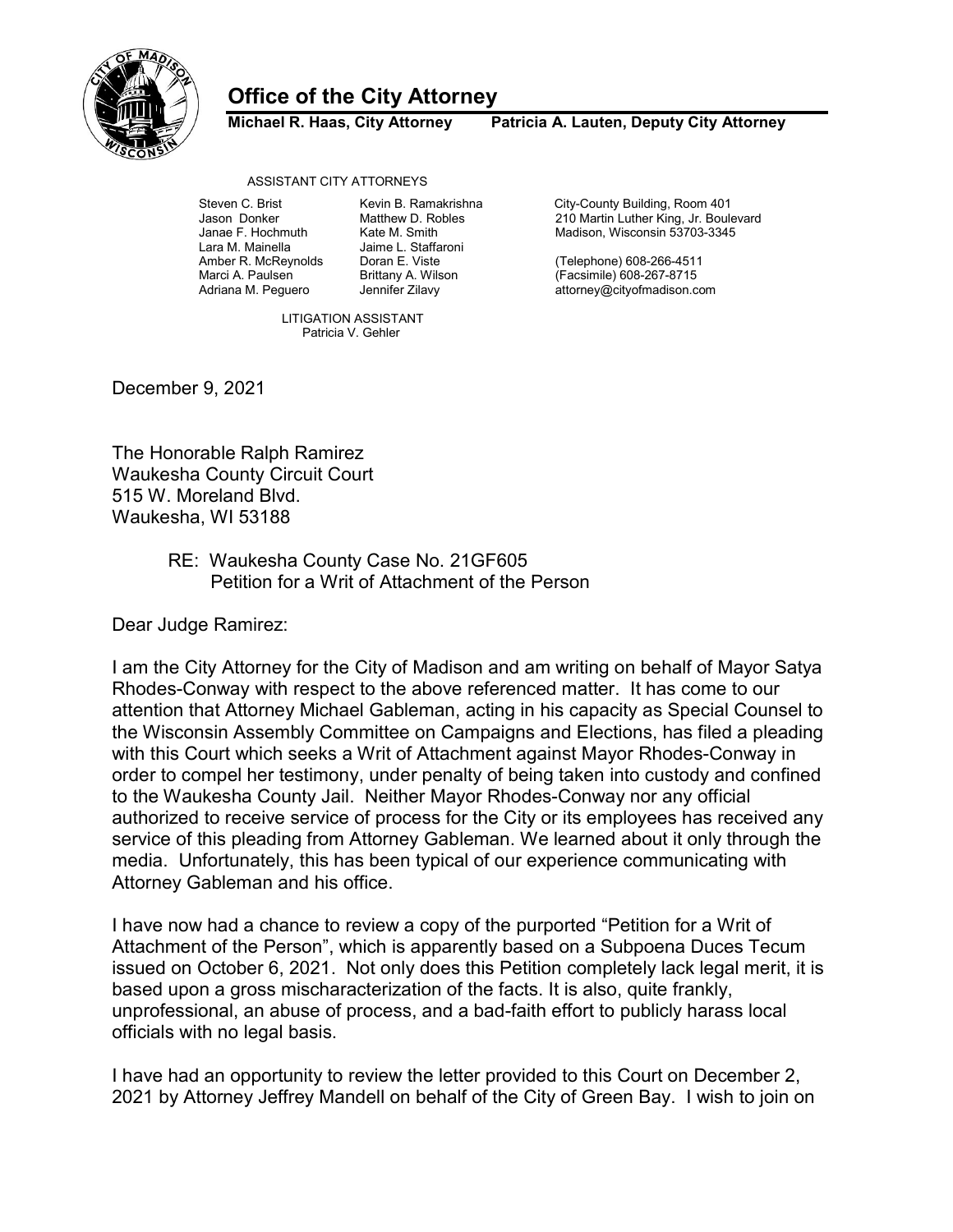

## Office of the City Attorney

Michael R. Haas, City Attorney Patricia A. Lauten, Deputy City Attorney

## ASSISTANT CITY ATTORNEYS

Janae F. Hochmuth Kate M. Smith Madison, Wisconsin 53703-3345

Jaime L. Staffaroni

 LITIGATION ASSISTANT Patricia V. Gehler

Steven C. Brist **Kevin B. Ramakrishna** City-County Building, Room 401 Jason Donker Matthew D. Robles 210 Martin Luther King, Jr. Boulevard

Amber R. McReynolds Doran E. Viste (Telephone) 608-266-4511 Marci A. Paulsen Brittany A. Wilson (Facsimile) 608-267-8715 attorney@cityofmadison.com

December 9, 2021

The Honorable Ralph Ramirez Waukesha County Circuit Court 515 W. Moreland Blvd. Waukesha, WI 53188

## RE: Waukesha County Case No. 21GF605 Petition for a Writ of Attachment of the Person

Dear Judge Ramirez:

I am the City Attorney for the City of Madison and am writing on behalf of Mayor Satya Rhodes-Conway with respect to the above referenced matter. It has come to our attention that Attorney Michael Gableman, acting in his capacity as Special Counsel to the Wisconsin Assembly Committee on Campaigns and Elections, has filed a pleading with this Court which seeks a Writ of Attachment against Mayor Rhodes-Conway in order to compel her testimony, under penalty of being taken into custody and confined to the Waukesha County Jail. Neither Mayor Rhodes-Conway nor any official authorized to receive service of process for the City or its employees has received any service of this pleading from Attorney Gableman. We learned about it only through the media. Unfortunately, this has been typical of our experience communicating with Attorney Gableman and his office.

I have now had a chance to review a copy of the purported "Petition for a Writ of Attachment of the Person", which is apparently based on a Subpoena Duces Tecum issued on October 6, 2021. Not only does this Petition completely lack legal merit, it is based upon a gross mischaracterization of the facts. It is also, quite frankly, unprofessional, an abuse of process, and a bad-faith effort to publicly harass local officials with no legal basis.

I have had an opportunity to review the letter provided to this Court on December 2, 2021 by Attorney Jeffrey Mandell on behalf of the City of Green Bay. I wish to join on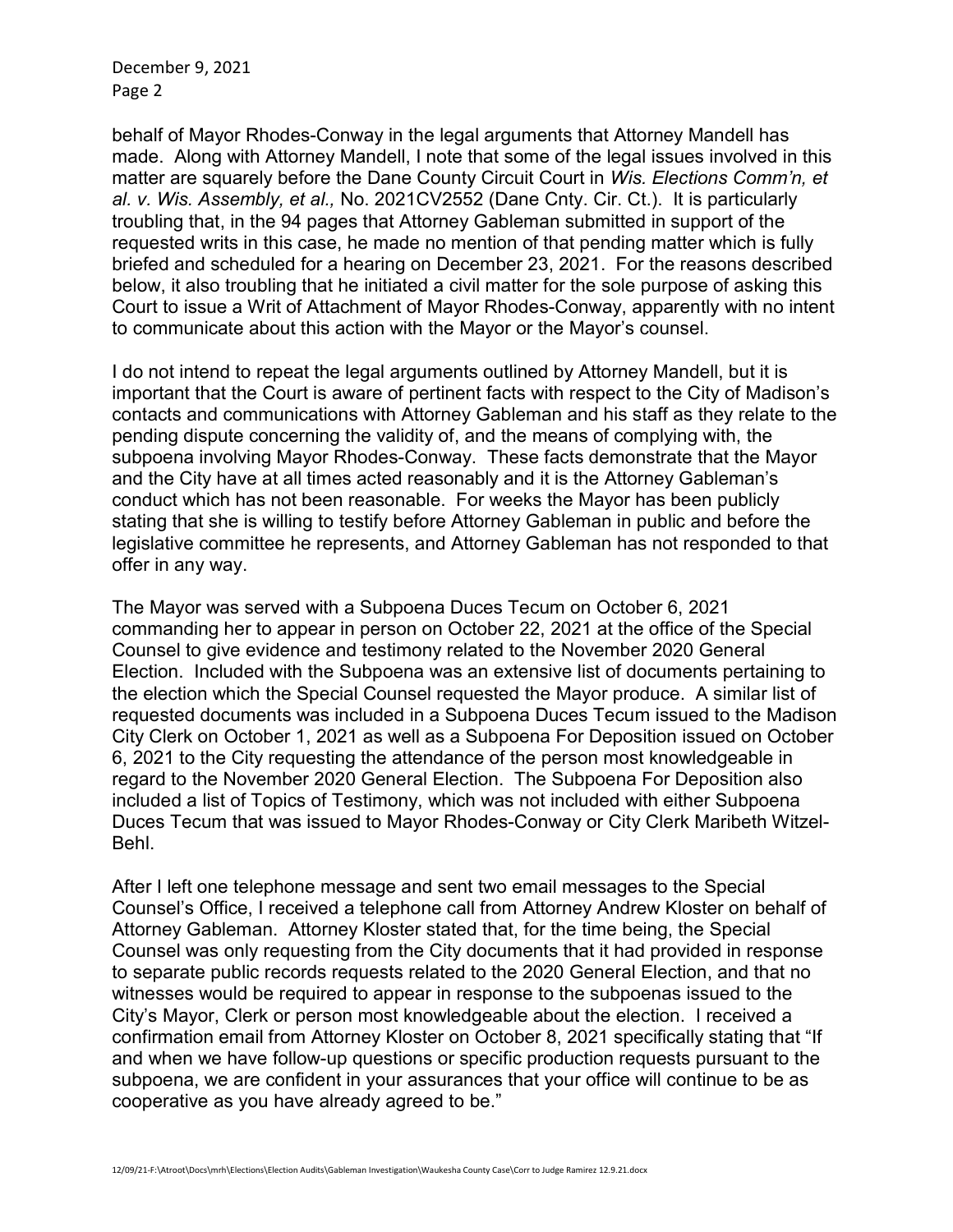December 9, 2021 Page 2

behalf of Mayor Rhodes-Conway in the legal arguments that Attorney Mandell has made. Along with Attorney Mandell, I note that some of the legal issues involved in this matter are squarely before the Dane County Circuit Court in Wis. Elections Comm'n, et al. v. Wis. Assembly, et al., No. 2021CV2552 (Dane Cnty. Cir. Ct.). It is particularly troubling that, in the 94 pages that Attorney Gableman submitted in support of the requested writs in this case, he made no mention of that pending matter which is fully briefed and scheduled for a hearing on December 23, 2021. For the reasons described below, it also troubling that he initiated a civil matter for the sole purpose of asking this Court to issue a Writ of Attachment of Mayor Rhodes-Conway, apparently with no intent to communicate about this action with the Mayor or the Mayor's counsel.

I do not intend to repeat the legal arguments outlined by Attorney Mandell, but it is important that the Court is aware of pertinent facts with respect to the City of Madison's contacts and communications with Attorney Gableman and his staff as they relate to the pending dispute concerning the validity of, and the means of complying with, the subpoena involving Mayor Rhodes-Conway. These facts demonstrate that the Mayor and the City have at all times acted reasonably and it is the Attorney Gableman's conduct which has not been reasonable. For weeks the Mayor has been publicly stating that she is willing to testify before Attorney Gableman in public and before the legislative committee he represents, and Attorney Gableman has not responded to that offer in any way.

The Mayor was served with a Subpoena Duces Tecum on October 6, 2021 commanding her to appear in person on October 22, 2021 at the office of the Special Counsel to give evidence and testimony related to the November 2020 General Election. Included with the Subpoena was an extensive list of documents pertaining to the election which the Special Counsel requested the Mayor produce. A similar list of requested documents was included in a Subpoena Duces Tecum issued to the Madison City Clerk on October 1, 2021 as well as a Subpoena For Deposition issued on October 6, 2021 to the City requesting the attendance of the person most knowledgeable in regard to the November 2020 General Election. The Subpoena For Deposition also included a list of Topics of Testimony, which was not included with either Subpoena Duces Tecum that was issued to Mayor Rhodes-Conway or City Clerk Maribeth Witzel-Behl.

After I left one telephone message and sent two email messages to the Special Counsel's Office, I received a telephone call from Attorney Andrew Kloster on behalf of Attorney Gableman. Attorney Kloster stated that, for the time being, the Special Counsel was only requesting from the City documents that it had provided in response to separate public records requests related to the 2020 General Election, and that no witnesses would be required to appear in response to the subpoenas issued to the City's Mayor, Clerk or person most knowledgeable about the election. I received a confirmation email from Attorney Kloster on October 8, 2021 specifically stating that "If and when we have follow-up questions or specific production requests pursuant to the subpoena, we are confident in your assurances that your office will continue to be as cooperative as you have already agreed to be."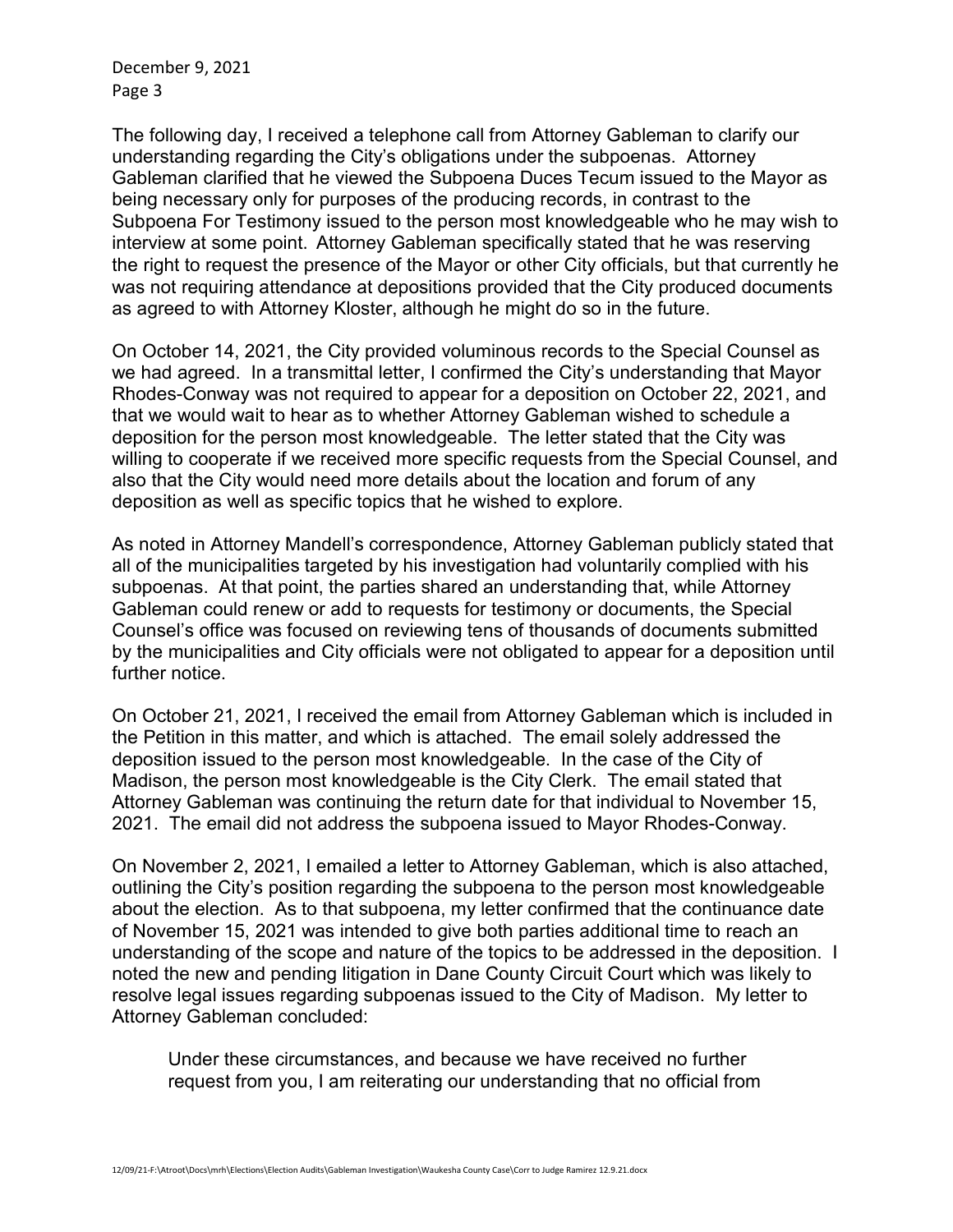December 9, 2021 Page 3

The following day, I received a telephone call from Attorney Gableman to clarify our understanding regarding the City's obligations under the subpoenas. Attorney Gableman clarified that he viewed the Subpoena Duces Tecum issued to the Mayor as being necessary only for purposes of the producing records, in contrast to the Subpoena For Testimony issued to the person most knowledgeable who he may wish to interview at some point. Attorney Gableman specifically stated that he was reserving the right to request the presence of the Mayor or other City officials, but that currently he was not requiring attendance at depositions provided that the City produced documents as agreed to with Attorney Kloster, although he might do so in the future.

On October 14, 2021, the City provided voluminous records to the Special Counsel as we had agreed. In a transmittal letter, I confirmed the City's understanding that Mayor Rhodes-Conway was not required to appear for a deposition on October 22, 2021, and that we would wait to hear as to whether Attorney Gableman wished to schedule a deposition for the person most knowledgeable. The letter stated that the City was willing to cooperate if we received more specific requests from the Special Counsel, and also that the City would need more details about the location and forum of any deposition as well as specific topics that he wished to explore.

As noted in Attorney Mandell's correspondence, Attorney Gableman publicly stated that all of the municipalities targeted by his investigation had voluntarily complied with his subpoenas. At that point, the parties shared an understanding that, while Attorney Gableman could renew or add to requests for testimony or documents, the Special Counsel's office was focused on reviewing tens of thousands of documents submitted by the municipalities and City officials were not obligated to appear for a deposition until further notice.

On October 21, 2021, I received the email from Attorney Gableman which is included in the Petition in this matter, and which is attached. The email solely addressed the deposition issued to the person most knowledgeable. In the case of the City of Madison, the person most knowledgeable is the City Clerk. The email stated that Attorney Gableman was continuing the return date for that individual to November 15, 2021. The email did not address the subpoena issued to Mayor Rhodes-Conway.

On November 2, 2021, I emailed a letter to Attorney Gableman, which is also attached, outlining the City's position regarding the subpoena to the person most knowledgeable about the election. As to that subpoena, my letter confirmed that the continuance date of November 15, 2021 was intended to give both parties additional time to reach an understanding of the scope and nature of the topics to be addressed in the deposition. I noted the new and pending litigation in Dane County Circuit Court which was likely to resolve legal issues regarding subpoenas issued to the City of Madison. My letter to Attorney Gableman concluded:

Under these circumstances, and because we have received no further request from you, I am reiterating our understanding that no official from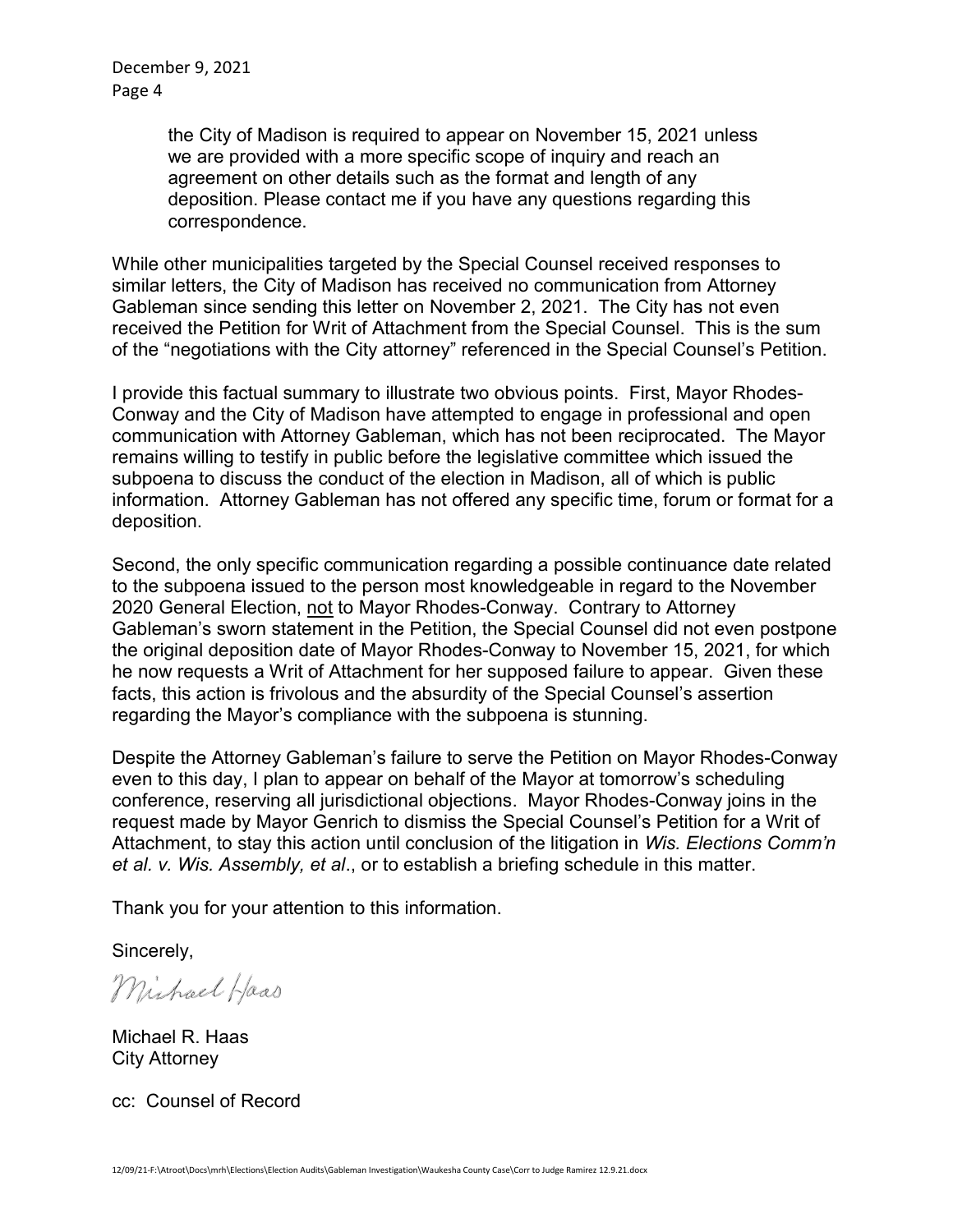December 9, 2021 Page 4

> the City of Madison is required to appear on November 15, 2021 unless we are provided with a more specific scope of inquiry and reach an agreement on other details such as the format and length of any deposition. Please contact me if you have any questions regarding this correspondence.

While other municipalities targeted by the Special Counsel received responses to similar letters, the City of Madison has received no communication from Attorney Gableman since sending this letter on November 2, 2021. The City has not even received the Petition for Writ of Attachment from the Special Counsel. This is the sum of the "negotiations with the City attorney" referenced in the Special Counsel's Petition.

I provide this factual summary to illustrate two obvious points. First, Mayor Rhodes-Conway and the City of Madison have attempted to engage in professional and open communication with Attorney Gableman, which has not been reciprocated. The Mayor remains willing to testify in public before the legislative committee which issued the subpoena to discuss the conduct of the election in Madison, all of which is public information. Attorney Gableman has not offered any specific time, forum or format for a deposition.

Second, the only specific communication regarding a possible continuance date related to the subpoena issued to the person most knowledgeable in regard to the November 2020 General Election, not to Mayor Rhodes-Conway. Contrary to Attorney Gableman's sworn statement in the Petition, the Special Counsel did not even postpone the original deposition date of Mayor Rhodes-Conway to November 15, 2021, for which he now requests a Writ of Attachment for her supposed failure to appear. Given these facts, this action is frivolous and the absurdity of the Special Counsel's assertion regarding the Mayor's compliance with the subpoena is stunning.

Despite the Attorney Gableman's failure to serve the Petition on Mayor Rhodes-Conway even to this day, I plan to appear on behalf of the Mayor at tomorrow's scheduling conference, reserving all jurisdictional objections. Mayor Rhodes-Conway joins in the request made by Mayor Genrich to dismiss the Special Counsel's Petition for a Writ of Attachment, to stay this action until conclusion of the litigation in Wis. Elections Comm'n et al. v. Wis. Assembly, et al., or to establish a briefing schedule in this matter.

Thank you for your attention to this information.

Sincerely,

Michael Haas

Michael R. Haas City Attorney

cc: Counsel of Record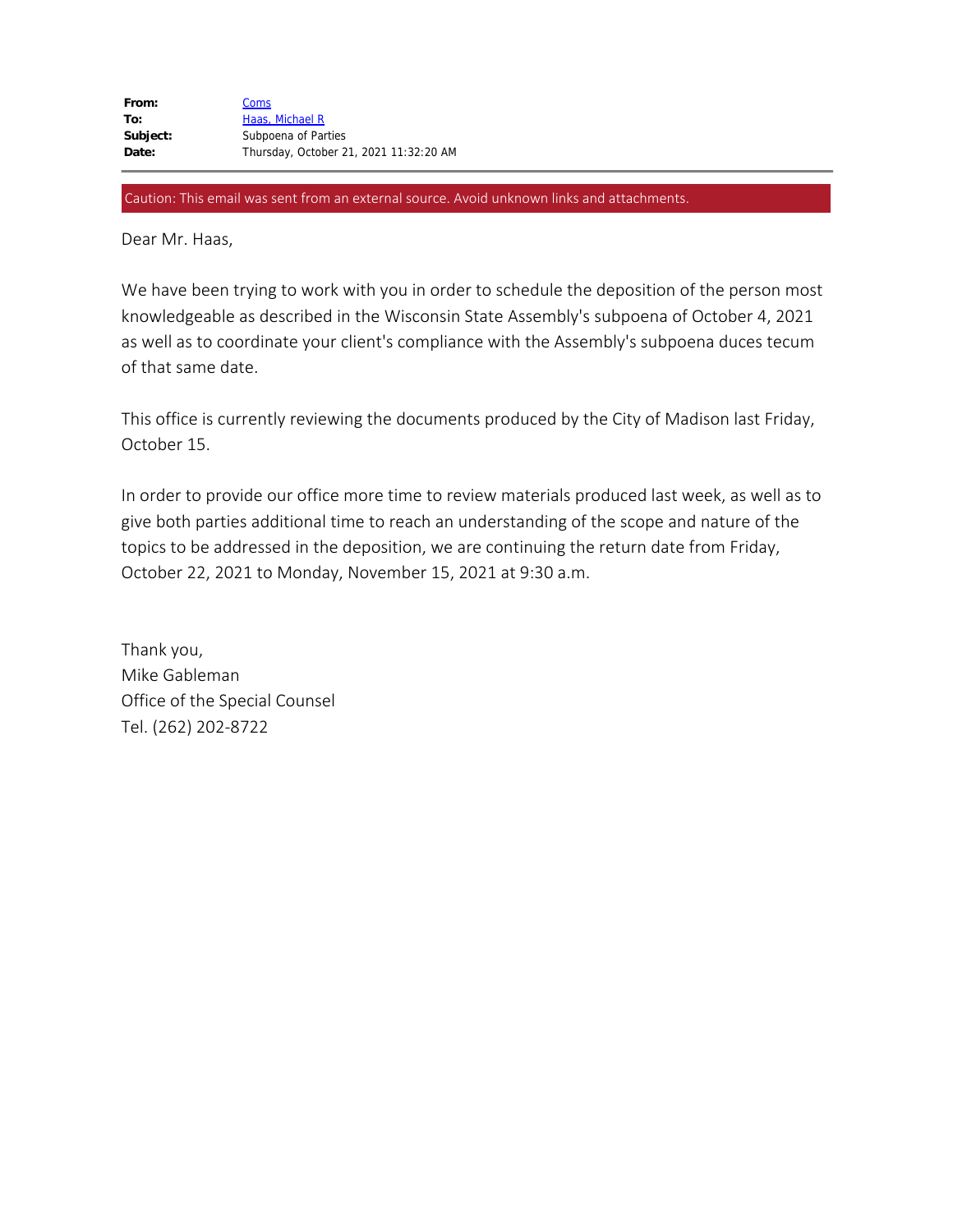Caution: This email was sent from an external source. Avoid unknown links and attachments.

Dear Mr. Haas,

We have been trying to work with you in order to schedule the deposition of the person most knowledgeable as described in the Wisconsin State Assembly's subpoena of October 4, 2021 as well as to coordinate your client's compliance with the Assembly's subpoena duces tecum of that same date.

This office is currently reviewing the documents produced by the City of Madison last Friday, October 15.

In order to provide our office more time to review materials produced last week, as well as to give both parties additional time to reach an understanding of the scope and nature of the topics to be addressed in the deposition, we are continuing the return date from Friday, October 22, 2021 to Monday, November 15, 2021 at 9:30 a.m.

Thank you, Mike Gableman Office of the Special Counsel Tel. (262) 202-8722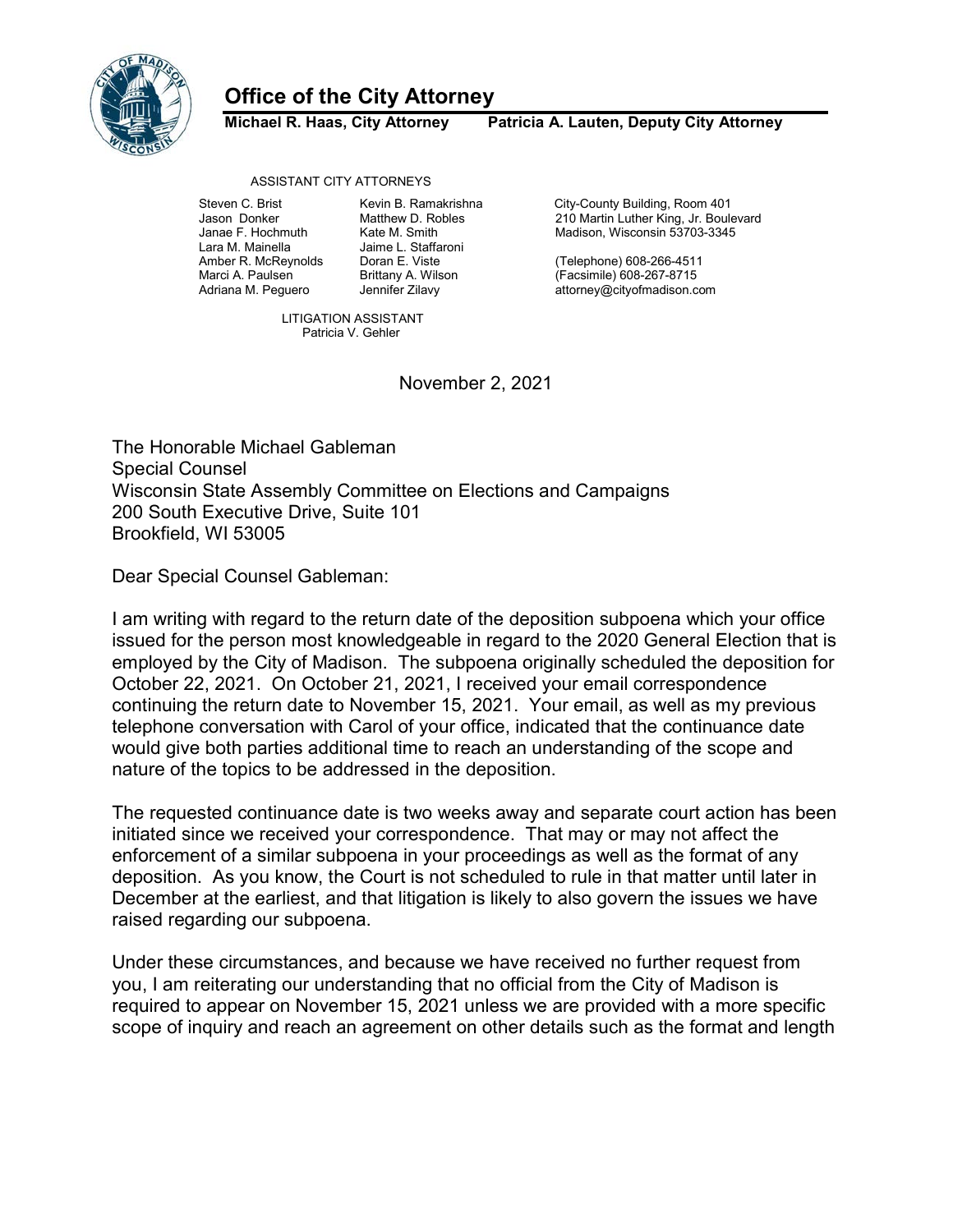

## Office of the City Attorney

Michael R. Haas, City Attorney Patricia A. Lauten, Deputy City Attorney

ASSISTANT CITY ATTORNEYS

Janae F. Hochmuth Kate M. Smith Madison, Wisconsin 53703-3345

Jaime L. Staffaroni

Steven C. Brist **Kevin B. Ramakrishna** City-County Building, Room 401 Jason Donker Matthew D. Robles 210 Martin Luther King, Jr. Boulevard

Amber R. McReynolds Doran E. Viste (Telephone) 608-266-4511 Marci A. Paulsen Brittany A. Wilson (Facsimile) 608-267-8715 attorney@cityofmadison.com

> LITIGATION ASSISTANT Patricia V. Gehler

> > November 2, 2021

The Honorable Michael Gableman Special Counsel Wisconsin State Assembly Committee on Elections and Campaigns 200 South Executive Drive, Suite 101 Brookfield, WI 53005

Dear Special Counsel Gableman:

I am writing with regard to the return date of the deposition subpoena which your office issued for the person most knowledgeable in regard to the 2020 General Election that is employed by the City of Madison. The subpoena originally scheduled the deposition for October 22, 2021. On October 21, 2021, I received your email correspondence continuing the return date to November 15, 2021. Your email, as well as my previous telephone conversation with Carol of your office, indicated that the continuance date would give both parties additional time to reach an understanding of the scope and nature of the topics to be addressed in the deposition.

The requested continuance date is two weeks away and separate court action has been initiated since we received your correspondence. That may or may not affect the enforcement of a similar subpoena in your proceedings as well as the format of any deposition. As you know, the Court is not scheduled to rule in that matter until later in December at the earliest, and that litigation is likely to also govern the issues we have raised regarding our subpoena.

Under these circumstances, and because we have received no further request from you, I am reiterating our understanding that no official from the City of Madison is required to appear on November 15, 2021 unless we are provided with a more specific scope of inquiry and reach an agreement on other details such as the format and length